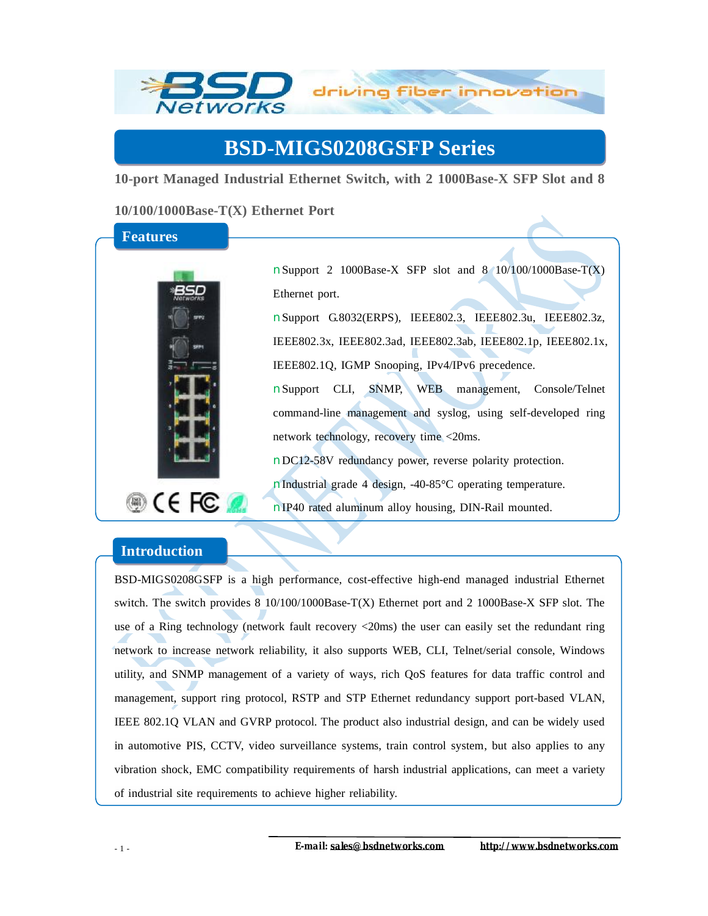

## **BSD-MIGS0208GSFP Series**

**10-port Managed Industrial Ethernet Switch, with 2 1000Base-X SFP Slot and 8** 

**10/100/1000Base-T(X) Ethernet Port** 

## **Features**



nSupport 2 1000Base-X SFP slot and 8 10/100/1000Base-T(X) Ethernet port.

nSupport G.8032(ERPS), IEEE802.3, IEEE802.3u, IEEE802.3z, IEEE802.3x, IEEE802.3ad, IEEE802.3ab, IEEE802.1p, IEEE802.1x, IEEE802.1Q, IGMP Snooping, IPv4/IPv6 precedence.

nSupport CLI, SNMP, WEB management, Console/Telnet command-line management and syslog, using self-developed ring network technology, recovery time <20ms.

nDC12-58V redundancy power, reverse polarity protection.

nIndustrial grade 4 design, -40-85°C operating temperature.

nIP40 rated aluminum alloy housing, DIN-Rail mounted.

## **Introduction**

BSD-MIGS0208GSFP is a high performance, cost-effective high-end managed industrial Ethernet switch. The switch provides 8 10/100/1000Base-T(X) Ethernet port and 2 1000Base-X SFP slot. The use of a Ring technology (network fault recovery <20ms) the user can easily set the redundant ring network to increase network reliability, it also supports WEB, CLI, Telnet/serial console, Windows utility, and SNMP management of a variety of ways, rich QoS features for data traffic control and management, support ring protocol, RSTP and STP Ethernet redundancy support port-based VLAN, IEEE 802.1Q VLAN and GVRP protocol. The product also industrial design, and can be widely used in automotive PIS, CCTV, video surveillance systems, train control system, but also applies to any vibration shock, EMC compatibility requirements of harsh industrial applications, can meet a variety of industrial site requirements to achieve higher reliability.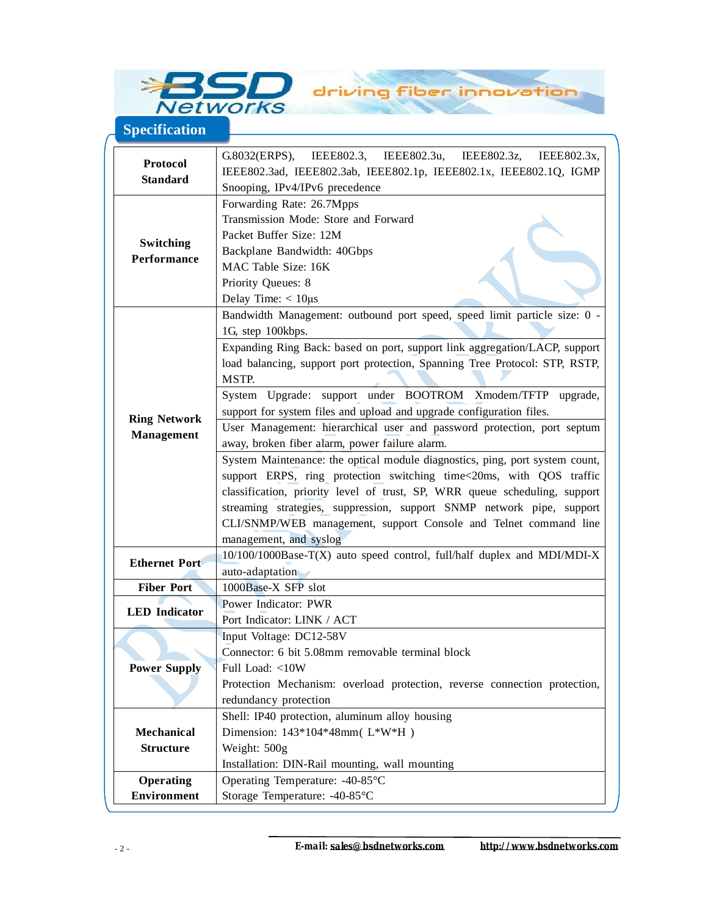

**Specification**

**Protocol Standard**  G.8032(ERPS), IEEE802.3, IEEE802.3u, IEEE802.3z, IEEE802.3x, IEEE802.3ad, IEEE802.3ab, IEEE802.1p, IEEE802.1x, IEEE802.1Q, IGMP Snooping, IPv4/IPv6 precedence **Switching Performance**  Forwarding Rate: 26.7Mpps Transmission Mode: Store and Forward Packet Buffer Size: 12M Backplane Bandwidth: 40Gbps MAC Table Size: 16K Priority Queues: 8 Delay Time: < 10μs **Ring Network Management**  Bandwidth Management: outbound port speed, speed limit particle size: 0 - 1G, step 100kbps. Expanding Ring Back: based on port, support link aggregation/LACP, support load balancing, support port protection, Spanning Tree Protocol: STP, RSTP, MSTP. System Upgrade: support under BOOTROM Xmodem/TFTP upgrade, support for system files and upload and upgrade configuration files. User Management: hierarchical user and password protection, port septum away, broken fiber alarm, power failure alarm. System Maintenance: the optical module diagnostics, ping, port system count, support ERPS, ring protection switching time <20ms, with QOS traffic classification, priority level of trust, SP, WRR queue scheduling, support streaming strategies, suppression, support SNMP network pipe, support CLI/SNMP/WEB management, support Console and Telnet command line management, and syslog **Ethernet Port**  10/100/1000Base-T(X) auto speed control, full/half duplex and MDI/MDI-X auto-adaptation **Fiber Port** 1000Base-X SFP slot **LED Indicator**  Power Indicator: PWR Port Indicator: LINK / ACT **Power Supply**  Input Voltage: DC12-58V Connector: 6 bit 5.08mm removable terminal block Full Load: <10W Protection Mechanism: overload protection, reverse connection protection, redundancy protection **Mechanical Structure**  Shell: IP40 protection, aluminum alloy housing Dimension: 143\*104\*48mm( L\*W\*H ) Weight: 500g Installation: DIN-Rail mounting, wall mounting **Operating Environment**  Operating Temperature: -40-85°C Storage Temperature: -40-85°C